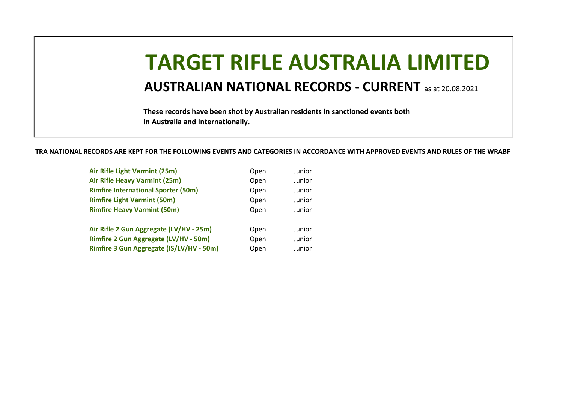# TARGET RIFLE AUSTRALIA LIMITED

#### AUSTRALIAN NATIONAL RECORDS - CURRENT as at 20.08.2021

These records have been shot by Australian residents in sanctioned events both in Australia and Internationally.

TRA NATIONAL RECORDS ARE KEPT FOR THE FOLLOWING EVENTS AND CATEGORIES IN ACCORDANCE WITH APPROVED EVENTS AND RULES OF THE WRABF

| Air Rifle Light Varmint (25m)                | Open | Junior |
|----------------------------------------------|------|--------|
| Air Rifle Heavy Varmint (25m)                | Open | Junior |
| <b>Rimfire International Sporter (50m)</b>   | Open | Junior |
| <b>Rimfire Light Varmint (50m)</b>           | Open | Junior |
| <b>Rimfire Heavy Varmint (50m)</b>           | Open | Junior |
|                                              |      |        |
| Air Rifle 2 Gun Aggregate (LV/HV - 25m)      | Open | Junior |
| <b>Rimfire 2 Gun Aggregate (LV/HV - 50m)</b> | Open | Junior |
| Rimfire 3 Gun Aggregate (IS/LV/HV - 50m)     | Open | Junior |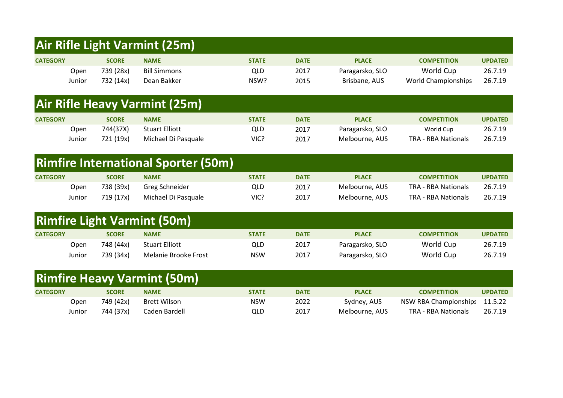#### Air Rifle Light Varmint (25m)

| <b>CATEGORY</b> |        | <b>SCORE</b> | <b>NAME</b>         | <b>STATE</b> | <b>DATE</b> | <b>PLACE</b>    | <b>COMPETITION</b>         | <b>UPDATED</b> |
|-----------------|--------|--------------|---------------------|--------------|-------------|-----------------|----------------------------|----------------|
|                 | Open   | 739 (28x)    | <b>Bill Simmons</b> | QLD          | 2017        | Paragarsko, SLO | World Cup                  | 26.7.19        |
|                 | Junior | 732 (14x)    | Dean Bakker         | NSW?         | 2015        | Brisbane, AUS   | <b>World Championships</b> | 26.7.19        |

### Air Rifle Heavy Varmint (25m)

| <b>CATEGORY</b> |        | <b>SCORE</b> | <b>NAME</b>           | <b>STATE</b> | <b>DATE</b> | <b>PLACE</b>    | <b>COMPETITION</b>  | <b>UPDATED</b> |
|-----------------|--------|--------------|-----------------------|--------------|-------------|-----------------|---------------------|----------------|
|                 | Open   | 744(37X)     | <b>Stuart Elliott</b> | QLD          | 2017        | Paragarsko, SLO | World Cup           | 26.7.19        |
|                 | Junior | 721 (19x)    | Michael Di Pasquale   | VIC?         | 2017        | Melbourne, AUS  | TRA - RBA Nationals | 26.7.19        |

|                 | <b>Rimfire International Sporter (50m)</b> |                     |              |             |                |                            |                |  |  |  |  |  |
|-----------------|--------------------------------------------|---------------------|--------------|-------------|----------------|----------------------------|----------------|--|--|--|--|--|
| <b>CATEGORY</b> | <b>SCORE</b>                               | <b>NAME</b>         | <b>STATE</b> | <b>DATE</b> | <b>PLACE</b>   | <b>COMPETITION</b>         | <b>UPDATED</b> |  |  |  |  |  |
| Open            | 738 (39x)                                  | Greg Schneider      | <b>QLD</b>   | 2017        | Melbourne, AUS | <b>TRA - RBA Nationals</b> | 26.7.19        |  |  |  |  |  |
| Junior          | 719 (17x)                                  | Michael Di Pasquale | VIC?         | 2017        | Melbourne, AUS | <b>TRA - RBA Nationals</b> | 26.7.19        |  |  |  |  |  |

| <b>Rimfire Light Varmint (50m)</b> |        |              |                       |              |             |                 |                    |                |  |  |  |
|------------------------------------|--------|--------------|-----------------------|--------------|-------------|-----------------|--------------------|----------------|--|--|--|
| <b>CATEGORY</b>                    |        | <b>SCORE</b> | <b>NAME</b>           | <b>STATE</b> | <b>DATE</b> | <b>PLACE</b>    | <b>COMPETITION</b> | <b>UPDATED</b> |  |  |  |
|                                    | Open   | 748 (44x)    | <b>Stuart Elliott</b> | QLD          | 2017        | Paragarsko, SLO | World Cup          | 26.7.19        |  |  |  |
|                                    | Junior | 739 (34x)    | Melanie Brooke Frost  | <b>NSW</b>   | 2017        | Paragarsko, SLO | World Cup          | 26.7.19        |  |  |  |

|                 | <b>Rimfire Heavy Varmint (50m)</b> |              |               |              |             |                |                               |                |  |  |  |  |
|-----------------|------------------------------------|--------------|---------------|--------------|-------------|----------------|-------------------------------|----------------|--|--|--|--|
| <b>CATEGORY</b> |                                    | <b>SCORE</b> | <b>NAME</b>   | <b>STATE</b> | <b>DATE</b> | <b>PLACE</b>   | <b>COMPETITION</b>            | <b>UPDATED</b> |  |  |  |  |
|                 | Open                               | 749 (42x)    | Brett Wilson  | <b>NSW</b>   | 2022        | Sydney, AUS    | NSW RBA Championships 11.5.22 |                |  |  |  |  |
|                 | Junior                             | 744 (37x)    | Caden Bardell | QLD          | 2017        | Melbourne, AUS | TRA - RBA Nationals           | 26.7.19        |  |  |  |  |